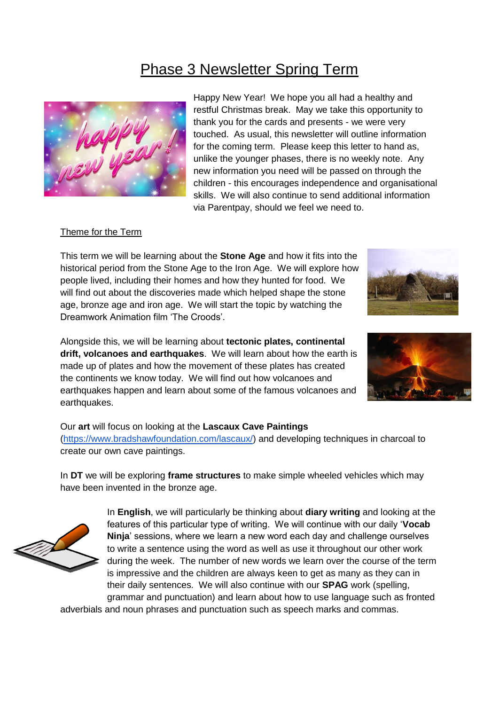# Phase 3 Newsletter Spring Term



Happy New Year! We hope you all had a healthy and restful Christmas break. May we take this opportunity to thank you for the cards and presents - we were very touched. As usual, this newsletter will outline information for the coming term. Please keep this letter to hand as, unlike the younger phases, there is no weekly note. Any new information you need will be passed on through the children - this encourages independence and organisational skills. We will also continue to send additional information via Parentpay, should we feel we need to.

#### Theme for the Term

This term we will be learning about the **Stone Age** and how it fits into the historical period from the Stone Age to the Iron Age. We will explore how people lived, including their homes and how they hunted for food. We will find out about the discoveries made which helped shape the stone age, bronze age and iron age. We will start the topic by watching the Dreamwork Animation film 'The Croods'.

Alongside this, we will be learning about **tectonic plates, continental drift, volcanoes and earthquakes**. We will learn about how the earth is made up of plates and how the movement of these plates has created the continents we know today. We will find out how volcanoes and earthquakes happen and learn about some of the famous volcanoes and earthquakes.



#### Our **art** will focus on looking at the **Lascaux Cave Paintings**

[\(https://www.bradshawfoundation.com/lascaux/\)](https://www.bradshawfoundation.com/lascaux/) and developing techniques in charcoal to create our own cave paintings.

In **DT** we will be exploring **frame structures** to make simple wheeled vehicles which may have been invented in the bronze age.



In **English**, we will particularly be thinking about **diary writing** and looking at the features of this particular type of writing. We will continue with our daily '**Vocab Ninja**' sessions, where we learn a new word each day and challenge ourselves to write a sentence using the word as well as use it throughout our other work during the week. The number of new words we learn over the course of the term is impressive and the children are always keen to get as many as they can in their daily sentences. We will also continue with our **SPAG** work (spelling, grammar and punctuation) and learn about how to use language such as fronted

adverbials and noun phrases and punctuation such as speech marks and commas.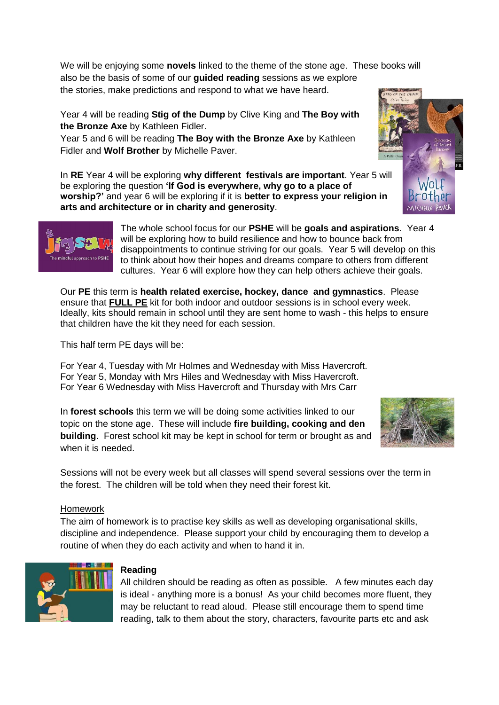We will be enjoying some **novels** linked to the theme of the stone age. These books will also be the basis of some of our **guided reading** sessions as we explore the stories, make predictions and respond to what we have heard.

Year 4 will be reading **Stig of the Dump** by Clive King and **The Boy with the Bronze Axe** by Kathleen Fidler.

Year 5 and 6 will be reading **The Boy with the Bronze Axe** by Kathleen Fidler and **Wolf Brother** by Michelle Paver.

In **RE** Year 4 will be exploring **why different festivals are important**. Year 5 will be exploring the question **'If God is everywhere, why go to a place of worship?'** and year 6 will be exploring if it is **better to express your religion in arts and architecture or in charity and generosity**.

> The whole school focus for our **PSHE** will be **goals and aspirations**. Year 4 will be exploring how to build resilience and how to bounce back from disappointments to continue striving for our goals. Year 5 will develop on this to think about how their hopes and dreams compare to others from different cultures. Year 6 will explore how they can help others achieve their goals.

Our **PE** this term is **health related exercise, hockey, dance and gymnastics**. Please ensure that **FULL PE** kit for both indoor and outdoor sessions is in school every week. Ideally, kits should remain in school until they are sent home to wash - this helps to ensure that children have the kit they need for each session.

This half term PE days will be:

For Year 4, Tuesday with Mr Holmes and Wednesday with Miss Havercroft. For Year 5, Monday with Mrs Hiles and Wednesday with Miss Havercroft. For Year 6 Wednesday with Miss Havercroft and Thursday with Mrs Carr

In **forest schools** this term we will be doing some activities linked to our topic on the stone age. These will include **fire building, cooking and den building**. Forest school kit may be kept in school for term or brought as and when it is needed.

Sessions will not be every week but all classes will spend several sessions over the term in the forest. The children will be told when they need their forest kit.

#### Homework

The aim of homework is to practise key skills as well as developing organisational skills, discipline and independence. Please support your child by encouraging them to develop a routine of when they do each activity and when to hand it in.







## **Reading**

All children should be reading as often as possible. A few minutes each day is ideal - anything more is a bonus! As your child becomes more fluent, they may be reluctant to read aloud. Please still encourage them to spend time reading, talk to them about the story, characters, favourite parts etc and ask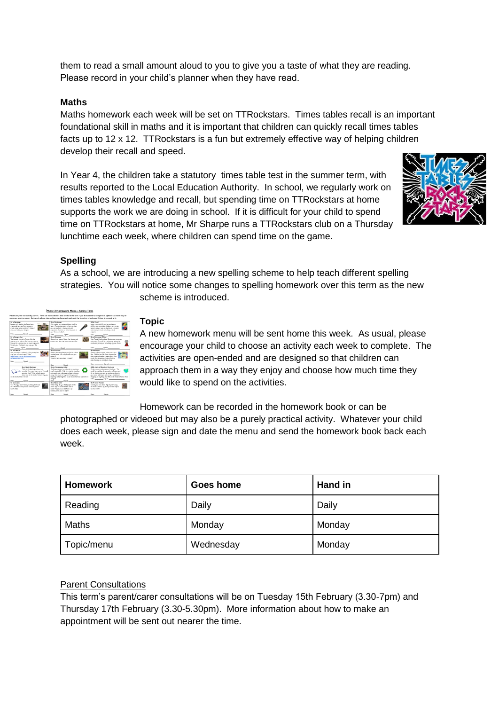them to read a small amount aloud to you to give you a taste of what they are reading. Please record in your child's planner when they have read.

### **Maths**

Maths homework each week will be set on TTRockstars. Times tables recall is an important foundational skill in maths and it is important that children can quickly recall times tables facts up to 12 x 12. TTRockstars is a fun but extremely effective way of helping children develop their recall and speed.

In Year 4, the children take a statutory times table test in the summer term, with results reported to the Local Education Authority. In school, we regularly work on times tables knowledge and recall, but spending time on TTRockstars at home supports the work we are doing in school. If it is difficult for your child to spend time on TTRockstars at home, Mr Sharpe runs a TTRockstars club on a Thursday lunchtime each week, where children can spend time on the game.



#### **Spelling**

As a school, we are introducing a new spelling scheme to help teach different spelling strategies. You will notice some changes to spelling homework over this term as the new scheme is introduced.



#### **Topic**

A new homework menu will be sent home this week. As usual, please encourage your child to choose an activity each week to complete. The activities are open-ended and are designed so that children can approach them in a way they enjoy and choose how much time they would like to spend on the activities.

Homework can be recorded in the homework book or can be

photographed or videoed but may also be a purely practical activity. Whatever your child does each week, please sign and date the menu and send the homework book back each week.

| <b>Homework</b> | Goes home | Hand in |
|-----------------|-----------|---------|
| Reading         | Daily     | Daily   |
| Maths           | Monday    | Monday  |
| Topic/menu      | Wednesday | Monday  |

#### Parent Consultations

This term's parent/carer consultations will be on Tuesday 15th February (3.30-7pm) and Thursday 17th February (3.30-5.30pm). More information about how to make an appointment will be sent out nearer the time.